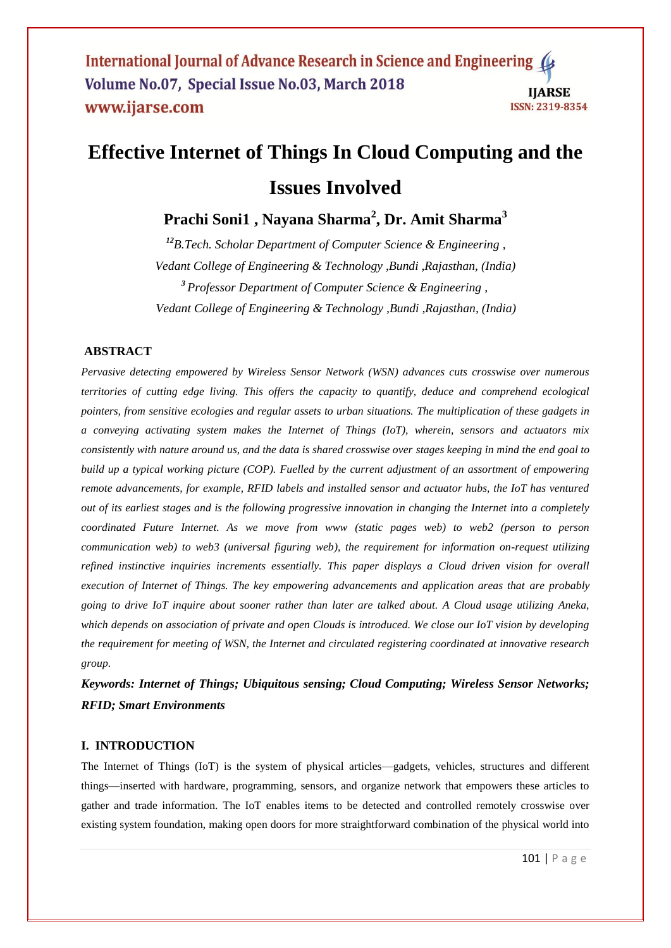International Journal of Advance Research in Science and Engineering ( Volume No.07, Special Issue No.03, March 2018 **IIARSE** www.ijarse.com ISSN: 2319-8354

# **Effective Internet of Things In Cloud Computing and the Issues Involved**

**Prachi Soni1 , Nayana Sharma<sup>2</sup> , Dr. Amit Sharma<sup>3</sup>**

*<sup>12</sup>B.Tech. Scholar Department of Computer Science & Engineering , Vedant College of Engineering & Technology ,Bundi ,Rajasthan, (India) <sup>3</sup> Professor Department of Computer Science & Engineering , Vedant College of Engineering & Technology ,Bundi ,Rajasthan, (India)* 

# **ABSTRACT**

*Pervasive detecting empowered by Wireless Sensor Network (WSN) advances cuts crosswise over numerous territories of cutting edge living. This offers the capacity to quantify, deduce and comprehend ecological pointers, from sensitive ecologies and regular assets to urban situations. The multiplication of these gadgets in a conveying activating system makes the Internet of Things (IoT), wherein, sensors and actuators mix consistently with nature around us, and the data is shared crosswise over stages keeping in mind the end goal to build up a typical working picture (COP). Fuelled by the current adjustment of an assortment of empowering remote advancements, for example, RFID labels and installed sensor and actuator hubs, the IoT has ventured out of its earliest stages and is the following progressive innovation in changing the Internet into a completely coordinated Future Internet. As we move from www (static pages web) to web2 (person to person communication web) to web3 (universal figuring web), the requirement for information on-request utilizing refined instinctive inquiries increments essentially. This paper displays a Cloud driven vision for overall execution of Internet of Things. The key empowering advancements and application areas that are probably going to drive IoT inquire about sooner rather than later are talked about. A Cloud usage utilizing Aneka, which depends on association of private and open Clouds is introduced. We close our IoT vision by developing the requirement for meeting of WSN, the Internet and circulated registering coordinated at innovative research group.*

*Keywords: Internet of Things; Ubiquitous sensing; Cloud Computing; Wireless Sensor Networks; RFID; Smart Environments*

## **I. INTRODUCTION**

The Internet of Things (IoT) is the system of physical articles—gadgets, vehicles, structures and different things—inserted with hardware, programming, sensors, and organize network that empowers these articles to gather and trade information. The IoT enables items to be detected and controlled remotely crosswise over existing system foundation, making open doors for more straightforward combination of the physical world into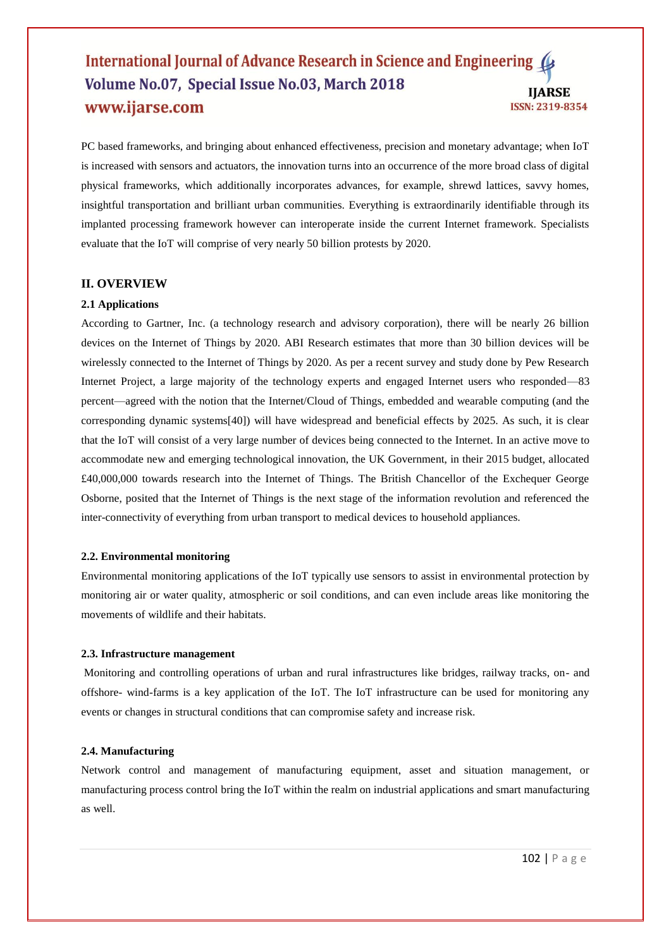# International Journal of Advance Research in Science and Engineering ( Volume No.07, Special Issue No.03, March 2018 **IIARSE** www.ijarse.com ISSN: 2319-8354

PC based frameworks, and bringing about enhanced effectiveness, precision and monetary advantage; when IoT is increased with sensors and actuators, the innovation turns into an occurrence of the more broad class of digital physical frameworks, which additionally incorporates advances, for example, shrewd lattices, savvy homes, insightful transportation and brilliant urban communities. Everything is extraordinarily identifiable through its implanted processing framework however can interoperate inside the current Internet framework. Specialists evaluate that the IoT will comprise of very nearly 50 billion protests by 2020.

# **II. OVERVIEW**

#### **2.1 Applications**

According to Gartner, Inc. (a technology research and advisory corporation), there will be nearly 26 billion devices on the Internet of Things by 2020. ABI Research estimates that more than 30 billion devices will be wirelessly connected to the Internet of Things by 2020. As per a recent survey and study done by Pew Research Internet Project, a large majority of the technology experts and engaged Internet users who responded—83 percent—agreed with the notion that the Internet/Cloud of Things, embedded and wearable computing (and the corresponding dynamic systems[40]) will have widespread and beneficial effects by 2025. As such, it is clear that the IoT will consist of a very large number of devices being connected to the Internet. In an active move to accommodate new and emerging technological innovation, the UK Government, in their 2015 budget, allocated £40,000,000 towards research into the Internet of Things. The British Chancellor of the Exchequer George Osborne, posited that the Internet of Things is the next stage of the information revolution and referenced the inter-connectivity of everything from urban transport to medical devices to household appliances.

#### **2.2. Environmental monitoring**

Environmental monitoring applications of the IoT typically use sensors to assist in environmental protection by monitoring air or water quality, atmospheric or soil conditions, and can even include areas like monitoring the movements of wildlife and their habitats.

#### **2.3. Infrastructure management**

Monitoring and controlling operations of urban and rural infrastructures like bridges, railway tracks, on- and offshore- wind-farms is a key application of the IoT. The IoT infrastructure can be used for monitoring any events or changes in structural conditions that can compromise safety and increase risk.

#### **2.4. Manufacturing**

Network control and management of manufacturing equipment, asset and situation management, or manufacturing process control bring the IoT within the realm on industrial applications and smart manufacturing as well.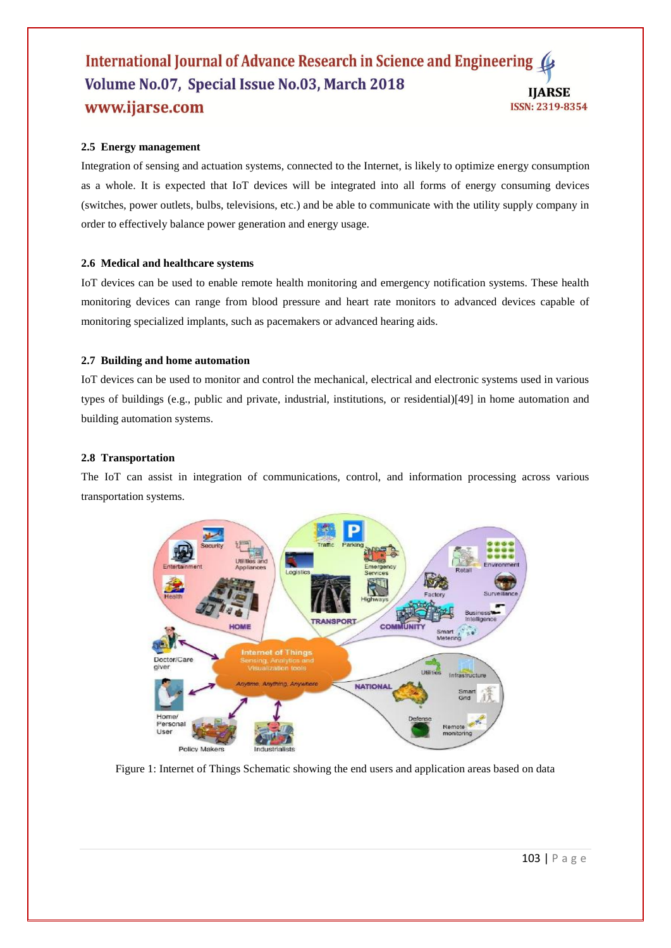# International Journal of Advance Research in Science and Engineering Volume No.07, Special Issue No.03, March 2018 **IIARSE** www.ijarse.com ISSN: 2319-8354

# **2.5 Energy management**

Integration of sensing and actuation systems, connected to the Internet, is likely to optimize energy consumption as a whole. It is expected that IoT devices will be integrated into all forms of energy consuming devices (switches, power outlets, bulbs, televisions, etc.) and be able to communicate with the utility supply company in order to effectively balance power generation and energy usage.

# **2.6 Medical and healthcare systems**

IoT devices can be used to enable remote health monitoring and emergency notification systems. These health monitoring devices can range from blood pressure and heart rate monitors to advanced devices capable of monitoring specialized implants, such as pacemakers or advanced hearing aids.

## **2.7 Building and home automation**

IoT devices can be used to monitor and control the mechanical, electrical and electronic systems used in various types of buildings (e.g., public and private, industrial, institutions, or residential)[49] in home automation and building automation systems.

#### **2.8 Transportation**

The IoT can assist in integration of communications, control, and information processing across various transportation systems.



Figure 1: Internet of Things Schematic showing the end users and application areas based on data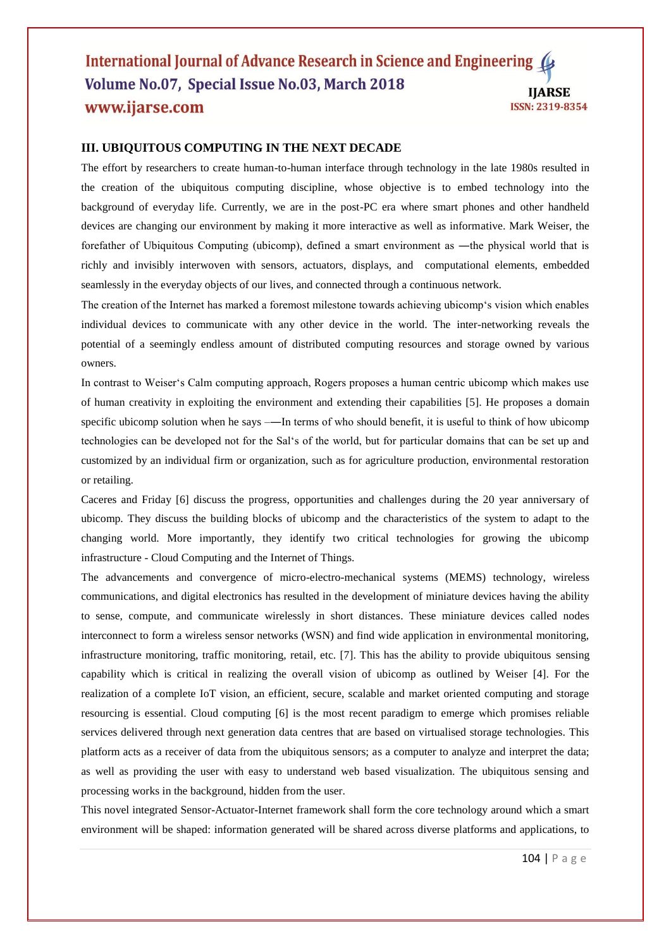## International Journal of Advance Research in Science and Engineering ( Volume No.07, Special Issue No.03, March 2018 **IJARSE** www.ijarse.com ISSN: 2319-8354

# **III. UBIQUITOUS COMPUTING IN THE NEXT DECADE**

The effort by researchers to create human-to-human interface through technology in the late 1980s resulted in the creation of the ubiquitous computing discipline, whose objective is to embed technology into the background of everyday life. Currently, we are in the post-PC era where smart phones and other handheld devices are changing our environment by making it more interactive as well as informative. Mark Weiser, the forefather of Ubiquitous Computing (ubicomp), defined a smart environment as ―the physical world that is richly and invisibly interwoven with sensors, actuators, displays, and computational elements, embedded seamlessly in the everyday objects of our lives, and connected through a continuous network.

The creation of the Internet has marked a foremost milestone towards achieving ubicomp's vision which enables individual devices to communicate with any other device in the world. The inter-networking reveals the potential of a seemingly endless amount of distributed computing resources and storage owned by various owners.

In contrast to Weiser's Calm computing approach, Rogers proposes a human centric ubicomp which makes use of human creativity in exploiting the environment and extending their capabilities [5]. He proposes a domain specific ubicomp solution when he says ——In terms of who should benefit, it is useful to think of how ubicomp technologies can be developed not for the Sal‗s of the world, but for particular domains that can be set up and customized by an individual firm or organization, such as for agriculture production, environmental restoration or retailing.

Caceres and Friday [6] discuss the progress, opportunities and challenges during the 20 year anniversary of ubicomp. They discuss the building blocks of ubicomp and the characteristics of the system to adapt to the changing world. More importantly, they identify two critical technologies for growing the ubicomp infrastructure - Cloud Computing and the Internet of Things.

The advancements and convergence of micro-electro-mechanical systems (MEMS) technology, wireless communications, and digital electronics has resulted in the development of miniature devices having the ability to sense, compute, and communicate wirelessly in short distances. These miniature devices called nodes interconnect to form a wireless sensor networks (WSN) and find wide application in environmental monitoring, infrastructure monitoring, traffic monitoring, retail, etc. [7]. This has the ability to provide ubiquitous sensing capability which is critical in realizing the overall vision of ubicomp as outlined by Weiser [4]. For the realization of a complete IoT vision, an efficient, secure, scalable and market oriented computing and storage resourcing is essential. Cloud computing [6] is the most recent paradigm to emerge which promises reliable services delivered through next generation data centres that are based on virtualised storage technologies. This platform acts as a receiver of data from the ubiquitous sensors; as a computer to analyze and interpret the data; as well as providing the user with easy to understand web based visualization. The ubiquitous sensing and processing works in the background, hidden from the user.

This novel integrated Sensor-Actuator-Internet framework shall form the core technology around which a smart environment will be shaped: information generated will be shared across diverse platforms and applications, to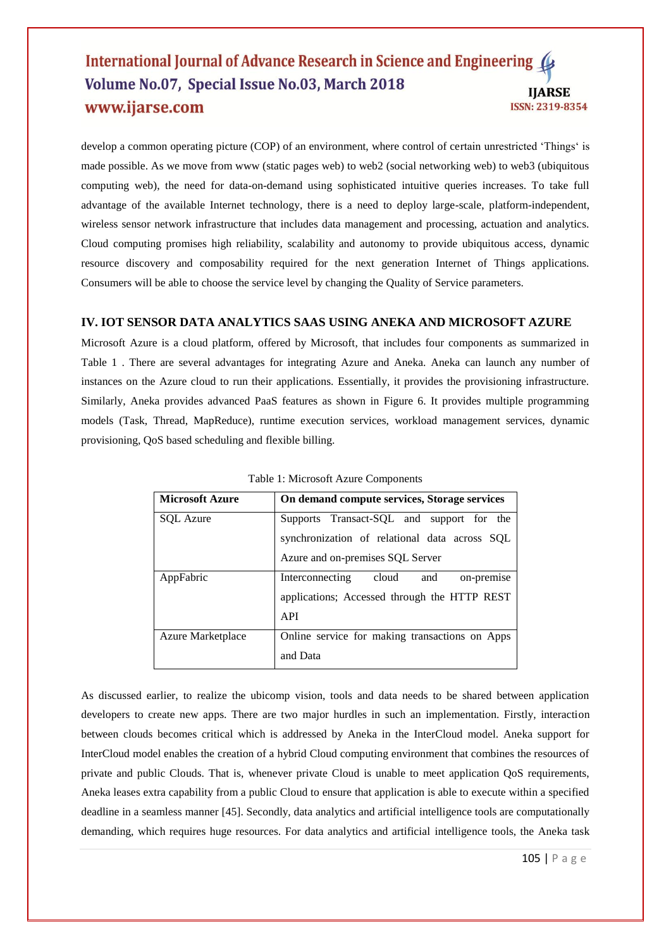## International Journal of Advance Research in Science and Engineering ( Volume No.07, Special Issue No.03, March 2018 **IJARSE** www.ijarse.com ISSN: 2319-8354

develop a common operating picture (COP) of an environment, where control of certain unrestricted 'Things' is made possible. As we move from www (static pages web) to web2 (social networking web) to web3 (ubiquitous computing web), the need for data-on-demand using sophisticated intuitive queries increases. To take full advantage of the available Internet technology, there is a need to deploy large-scale, platform-independent, wireless sensor network infrastructure that includes data management and processing, actuation and analytics. Cloud computing promises high reliability, scalability and autonomy to provide ubiquitous access, dynamic resource discovery and composability required for the next generation Internet of Things applications. Consumers will be able to choose the service level by changing the Quality of Service parameters.

# **IV. IOT SENSOR DATA ANALYTICS SAAS USING ANEKA AND MICROSOFT AZURE**

Microsoft Azure is a cloud platform, offered by Microsoft, that includes four components as summarized in Table 1 . There are several advantages for integrating Azure and Aneka. Aneka can launch any number of instances on the Azure cloud to run their applications. Essentially, it provides the provisioning infrastructure. Similarly, Aneka provides advanced PaaS features as shown in Figure 6. It provides multiple programming models (Task, Thread, MapReduce), runtime execution services, workload management services, dynamic provisioning, QoS based scheduling and flexible billing.

| <b>Microsoft Azure</b>   | On demand compute services, Storage services   |
|--------------------------|------------------------------------------------|
| <b>SOL</b> Azure         | Supports Transact-SQL and support for the      |
|                          | synchronization of relational data across SQL  |
|                          | Azure and on-premises SQL Server               |
| AppFabric                | on-premise<br>Interconnecting<br>cloud<br>and  |
|                          | applications; Accessed through the HTTP REST   |
|                          | API                                            |
| <b>Azure Marketplace</b> | Online service for making transactions on Apps |
|                          | and Data                                       |

Table 1: Microsoft Azure Components

As discussed earlier, to realize the ubicomp vision, tools and data needs to be shared between application developers to create new apps. There are two major hurdles in such an implementation. Firstly, interaction between clouds becomes critical which is addressed by Aneka in the InterCloud model. Aneka support for InterCloud model enables the creation of a hybrid Cloud computing environment that combines the resources of private and public Clouds. That is, whenever private Cloud is unable to meet application QoS requirements, Aneka leases extra capability from a public Cloud to ensure that application is able to execute within a specified deadline in a seamless manner [45]. Secondly, data analytics and artificial intelligence tools are computationally demanding, which requires huge resources. For data analytics and artificial intelligence tools, the Aneka task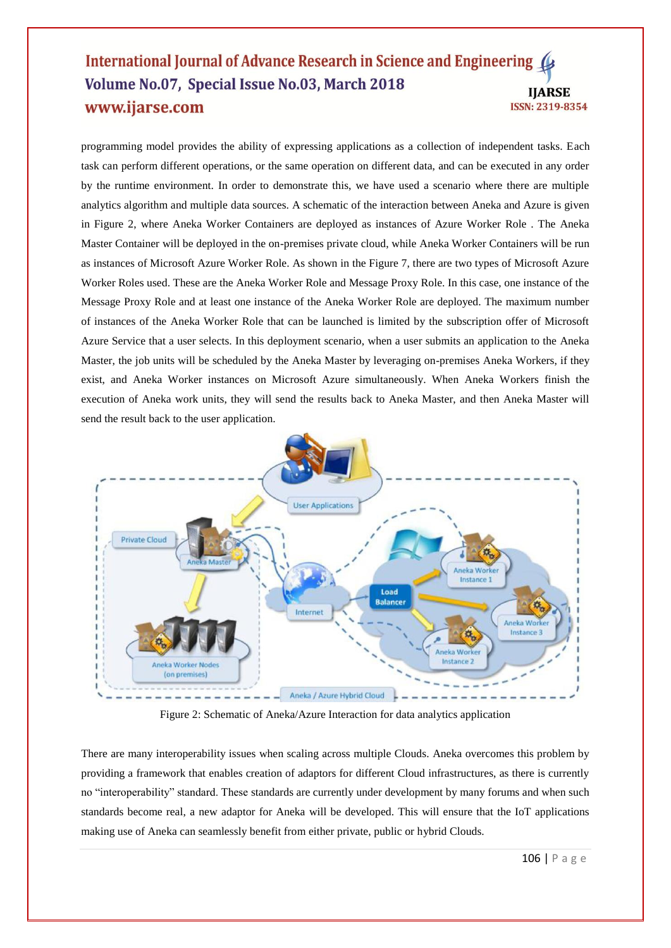## International Journal of Advance Research in Science and Engineering Volume No.07, Special Issue No.03, March 2018 **IIARSE** www.ijarse.com ISSN: 2319-8354

programming model provides the ability of expressing applications as a collection of independent tasks. Each task can perform different operations, or the same operation on different data, and can be executed in any order by the runtime environment. In order to demonstrate this, we have used a scenario where there are multiple analytics algorithm and multiple data sources. A schematic of the interaction between Aneka and Azure is given in Figure 2, where Aneka Worker Containers are deployed as instances of Azure Worker Role . The Aneka Master Container will be deployed in the on-premises private cloud, while Aneka Worker Containers will be run as instances of Microsoft Azure Worker Role. As shown in the Figure 7, there are two types of Microsoft Azure Worker Roles used. These are the Aneka Worker Role and Message Proxy Role. In this case, one instance of the Message Proxy Role and at least one instance of the Aneka Worker Role are deployed. The maximum number of instances of the Aneka Worker Role that can be launched is limited by the subscription offer of Microsoft Azure Service that a user selects. In this deployment scenario, when a user submits an application to the Aneka Master, the job units will be scheduled by the Aneka Master by leveraging on-premises Aneka Workers, if they exist, and Aneka Worker instances on Microsoft Azure simultaneously. When Aneka Workers finish the execution of Aneka work units, they will send the results back to Aneka Master, and then Aneka Master will send the result back to the user application.



Figure 2: Schematic of Aneka/Azure Interaction for data analytics application

There are many interoperability issues when scaling across multiple Clouds. Aneka overcomes this problem by providing a framework that enables creation of adaptors for different Cloud infrastructures, as there is currently no "interoperability" standard. These standards are currently under development by many forums and when such standards become real, a new adaptor for Aneka will be developed. This will ensure that the IoT applications making use of Aneka can seamlessly benefit from either private, public or hybrid Clouds.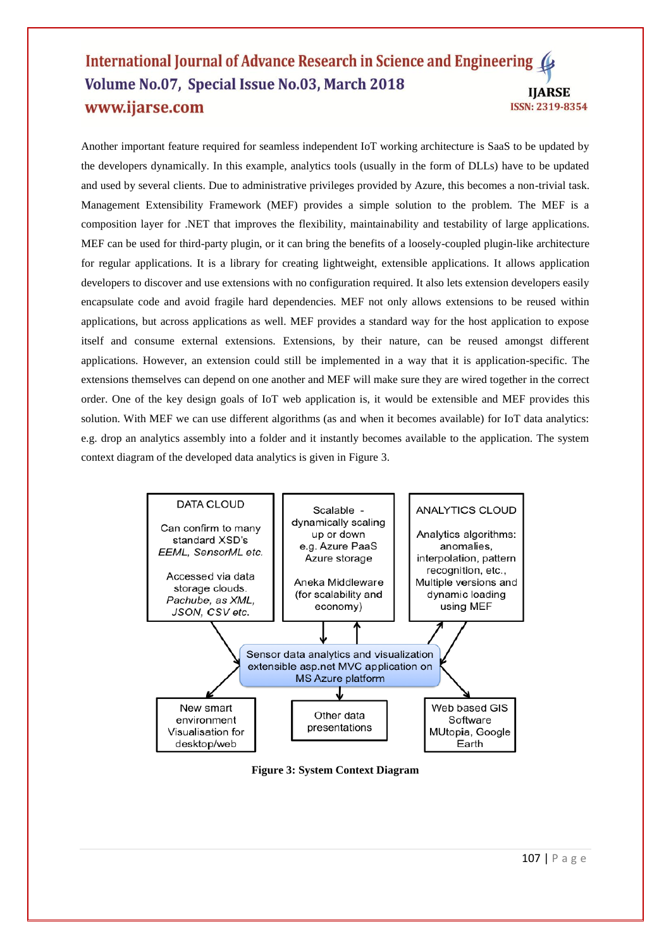# International Journal of Advance Research in Science and Engineering ( Volume No.07, Special Issue No.03, March 2018 **IIARSE** www.ijarse.com ISSN: 2319-8354

Another important feature required for seamless independent IoT working architecture is SaaS to be updated by the developers dynamically. In this example, analytics tools (usually in the form of DLLs) have to be updated and used by several clients. Due to administrative privileges provided by Azure, this becomes a non-trivial task. Management Extensibility Framework (MEF) provides a simple solution to the problem. The MEF is a composition layer for .NET that improves the flexibility, maintainability and testability of large applications. MEF can be used for third-party plugin, or it can bring the benefits of a loosely-coupled plugin-like architecture for regular applications. It is a library for creating lightweight, extensible applications. It allows application developers to discover and use extensions with no configuration required. It also lets extension developers easily encapsulate code and avoid fragile hard dependencies. MEF not only allows extensions to be reused within applications, but across applications as well. MEF provides a standard way for the host application to expose itself and consume external extensions. Extensions, by their nature, can be reused amongst different applications. However, an extension could still be implemented in a way that it is application-specific. The extensions themselves can depend on one another and MEF will make sure they are wired together in the correct order. One of the key design goals of IoT web application is, it would be extensible and MEF provides this solution. With MEF we can use different algorithms (as and when it becomes available) for IoT data analytics: e.g. drop an analytics assembly into a folder and it instantly becomes available to the application. The system context diagram of the developed data analytics is given in Figure 3.



**Figure 3: System Context Diagram**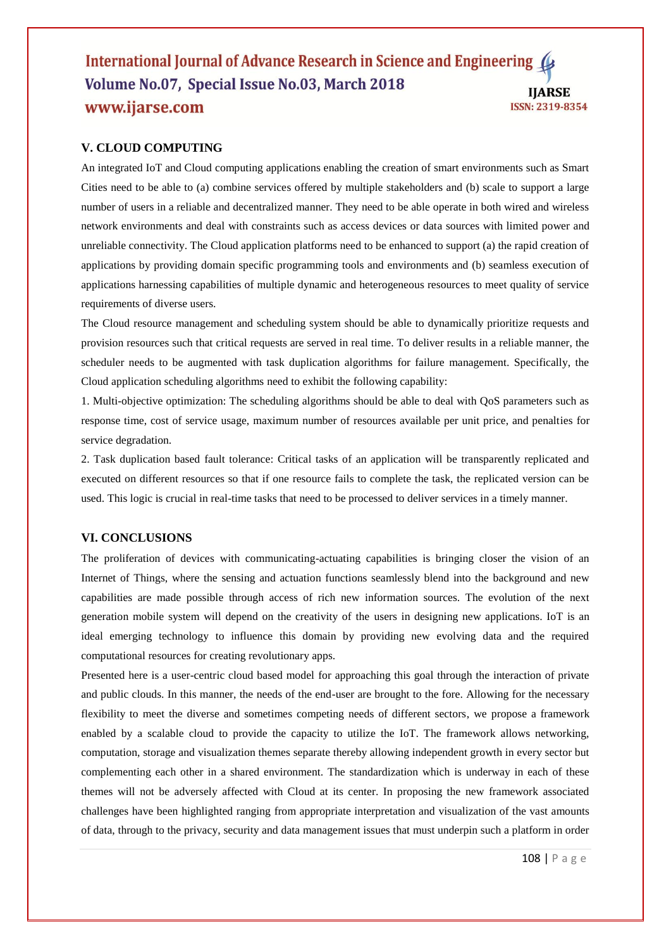## International Journal of Advance Research in Science and Engineering ( Volume No.07, Special Issue No.03, March 2018 **IJARSE** www.ijarse.com ISSN: 2319-8354

# **V. CLOUD COMPUTING**

An integrated IoT and Cloud computing applications enabling the creation of smart environments such as Smart Cities need to be able to (a) combine services offered by multiple stakeholders and (b) scale to support a large number of users in a reliable and decentralized manner. They need to be able operate in both wired and wireless network environments and deal with constraints such as access devices or data sources with limited power and unreliable connectivity. The Cloud application platforms need to be enhanced to support (a) the rapid creation of applications by providing domain specific programming tools and environments and (b) seamless execution of applications harnessing capabilities of multiple dynamic and heterogeneous resources to meet quality of service requirements of diverse users.

The Cloud resource management and scheduling system should be able to dynamically prioritize requests and provision resources such that critical requests are served in real time. To deliver results in a reliable manner, the scheduler needs to be augmented with task duplication algorithms for failure management. Specifically, the Cloud application scheduling algorithms need to exhibit the following capability:

1. Multi-objective optimization: The scheduling algorithms should be able to deal with QoS parameters such as response time, cost of service usage, maximum number of resources available per unit price, and penalties for service degradation.

2. Task duplication based fault tolerance: Critical tasks of an application will be transparently replicated and executed on different resources so that if one resource fails to complete the task, the replicated version can be used. This logic is crucial in real-time tasks that need to be processed to deliver services in a timely manner.

# **VI. CONCLUSIONS**

The proliferation of devices with communicating-actuating capabilities is bringing closer the vision of an Internet of Things, where the sensing and actuation functions seamlessly blend into the background and new capabilities are made possible through access of rich new information sources. The evolution of the next generation mobile system will depend on the creativity of the users in designing new applications. IoT is an ideal emerging technology to influence this domain by providing new evolving data and the required computational resources for creating revolutionary apps.

Presented here is a user-centric cloud based model for approaching this goal through the interaction of private and public clouds. In this manner, the needs of the end-user are brought to the fore. Allowing for the necessary flexibility to meet the diverse and sometimes competing needs of different sectors, we propose a framework enabled by a scalable cloud to provide the capacity to utilize the IoT. The framework allows networking, computation, storage and visualization themes separate thereby allowing independent growth in every sector but complementing each other in a shared environment. The standardization which is underway in each of these themes will not be adversely affected with Cloud at its center. In proposing the new framework associated challenges have been highlighted ranging from appropriate interpretation and visualization of the vast amounts of data, through to the privacy, security and data management issues that must underpin such a platform in order